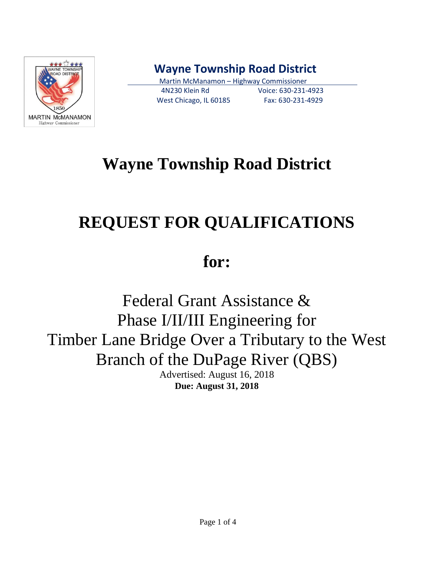

 **Wayne Township Road District**

 Martin McManamon – Highway Commissioner 4N230 Klein Rd Voice: 630-231-4923 West Chicago, IL 60185 Fax: 630-231-4929

# **Wayne Township Road District**

# **REQUEST FOR QUALIFICATIONS**

## **for:**

## Federal Grant Assistance & Phase I/II/III Engineering for Timber Lane Bridge Over a Tributary to the West Branch of the DuPage River (QBS) Advertised: August 16, 2018

**Due: August 31, 2018**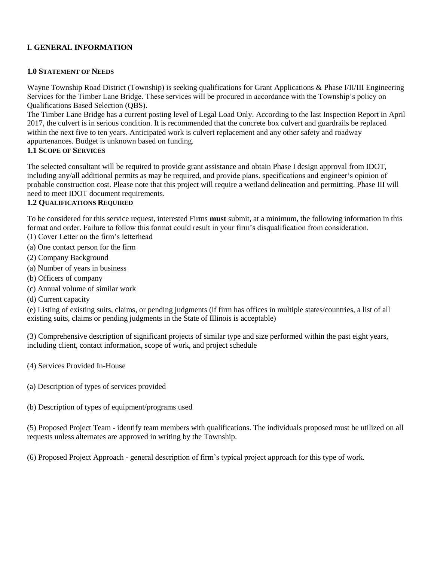### **I. GENERAL INFORMATION**

#### **1.0 STATEMENT OF NEEDS**

Wayne Township Road District (Township) is seeking qualifications for Grant Applications & Phase I/II/III Engineering Services for the Timber Lane Bridge. These services will be procured in accordance with the Township's policy on Qualifications Based Selection (QBS).

The Timber Lane Bridge has a current posting level of Legal Load Only. According to the last Inspection Report in April 2017, the culvert is in serious condition. It is recommended that the concrete box culvert and guardrails be replaced within the next five to ten years. Anticipated work is culvert replacement and any other safety and roadway appurtenances. Budget is unknown based on funding.

#### **1.1 SCOPE OF SERVICES**

The selected consultant will be required to provide grant assistance and obtain Phase I design approval from IDOT, including any/all additional permits as may be required, and provide plans, specifications and engineer's opinion of probable construction cost. Please note that this project will require a wetland delineation and permitting. Phase III will need to meet IDOT document requirements.

#### **1.2 QUALIFICATIONS REQUIRED**

To be considered for this service request, interested Firms **must** submit, at a minimum, the following information in this format and order. Failure to follow this format could result in your firm's disqualification from consideration.

- (1) Cover Letter on the firm's letterhead
- (a) One contact person for the firm
- (2) Company Background
- (a) Number of years in business
- (b) Officers of company
- (c) Annual volume of similar work
- (d) Current capacity

(e) Listing of existing suits, claims, or pending judgments (if firm has offices in multiple states/countries, a list of all existing suits, claims or pending judgments in the State of Illinois is acceptable)

(3) Comprehensive description of significant projects of similar type and size performed within the past eight years, including client, contact information, scope of work, and project schedule

- (4) Services Provided In-House
- (a) Description of types of services provided
- (b) Description of types of equipment/programs used

(5) Proposed Project Team - identify team members with qualifications. The individuals proposed must be utilized on all requests unless alternates are approved in writing by the Township.

(6) Proposed Project Approach - general description of firm's typical project approach for this type of work.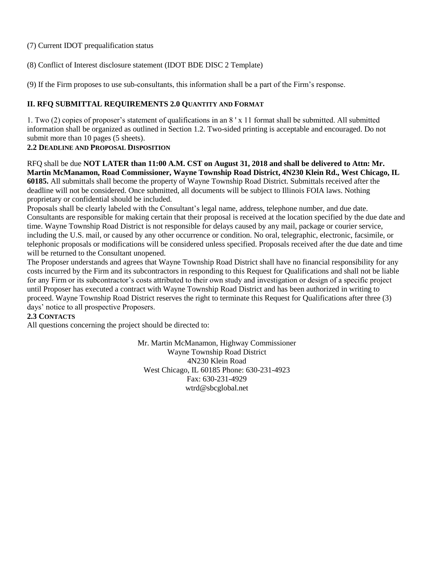#### (7) Current IDOT prequalification status

(8) Conflict of Interest disclosure statement (IDOT BDE DISC 2 Template)

(9) If the Firm proposes to use sub-consultants, this information shall be a part of the Firm's response.

### **II. RFQ SUBMITTAL REQUIREMENTS 2.0 QUANTITY AND FORMAT**

1. Two (2) copies of proposer's statement of qualifications in an 8 ' x 11 format shall be submitted. All submitted information shall be organized as outlined in Section 1.2. Two-sided printing is acceptable and encouraged. Do not submit more than 10 pages (5 sheets).

#### **2.2 DEADLINE AND PROPOSAL DISPOSITION**

RFQ shall be due **NOT LATER than 11:00 A.M. CST on August 31, 2018 and shall be delivered to Attn: Mr. Martin McManamon, Road Commissioner, Wayne Township Road District, 4N230 Klein Rd., West Chicago, IL 60185.** All submittals shall become the property of Wayne Township Road District. Submittals received after the deadline will not be considered. Once submitted, all documents will be subject to Illinois FOIA laws. Nothing proprietary or confidential should be included.

Proposals shall be clearly labeled with the Consultant's legal name, address, telephone number, and due date. Consultants are responsible for making certain that their proposal is received at the location specified by the due date and time. Wayne Township Road District is not responsible for delays caused by any mail, package or courier service, including the U.S. mail, or caused by any other occurrence or condition. No oral, telegraphic, electronic, facsimile, or telephonic proposals or modifications will be considered unless specified. Proposals received after the due date and time will be returned to the Consultant unopened.

The Proposer understands and agrees that Wayne Township Road District shall have no financial responsibility for any costs incurred by the Firm and its subcontractors in responding to this Request for Qualifications and shall not be liable for any Firm or its subcontractor's costs attributed to their own study and investigation or design of a specific project until Proposer has executed a contract with Wayne Township Road District and has been authorized in writing to proceed. Wayne Township Road District reserves the right to terminate this Request for Qualifications after three (3) days' notice to all prospective Proposers.

#### **2.3 CONTACTS**

All questions concerning the project should be directed to:

Mr. Martin McManamon, Highway Commissioner Wayne Township Road District 4N230 Klein Road West Chicago, IL 60185 Phone: 630-231-4923 Fax: 630-231-4929 wtrd@sbcglobal.net